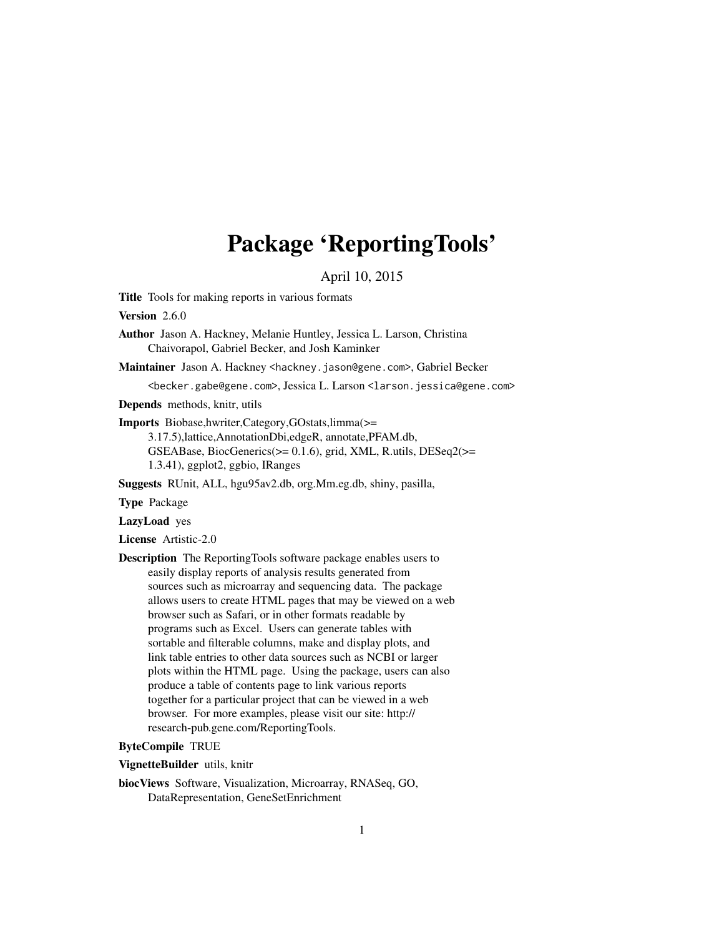# Package 'ReportingTools'

April 10, 2015

<span id="page-0-0"></span>Title Tools for making reports in various formats

Version 2.6.0

Author Jason A. Hackney, Melanie Huntley, Jessica L. Larson, Christina Chaivorapol, Gabriel Becker, and Josh Kaminker

Maintainer Jason A. Hackney <hackney.jason@gene.com>, Gabriel Becker

<becker.gabe@gene.com>, Jessica L. Larson <larson.jessica@gene.com>

Depends methods, knitr, utils

Imports Biobase,hwriter,Category,GOstats,limma(>=

3.17.5),lattice,AnnotationDbi,edgeR, annotate,PFAM.db, GSEABase, BiocGenerics(>= 0.1.6), grid, XML, R.utils, DESeq2(>= 1.3.41), ggplot2, ggbio, IRanges

Suggests RUnit, ALL, hgu95av2.db, org.Mm.eg.db, shiny, pasilla,

Type Package

LazyLoad yes

License Artistic-2.0

Description The ReportingTools software package enables users to easily display reports of analysis results generated from sources such as microarray and sequencing data. The package allows users to create HTML pages that may be viewed on a web browser such as Safari, or in other formats readable by programs such as Excel. Users can generate tables with sortable and filterable columns, make and display plots, and link table entries to other data sources such as NCBI or larger plots within the HTML page. Using the package, users can also produce a table of contents page to link various reports together for a particular project that can be viewed in a web browser. For more examples, please visit our site: http:// research-pub.gene.com/ReportingTools.

#### ByteCompile TRUE

#### VignetteBuilder utils, knitr

biocViews Software, Visualization, Microarray, RNASeq, GO, DataRepresentation, GeneSetEnrichment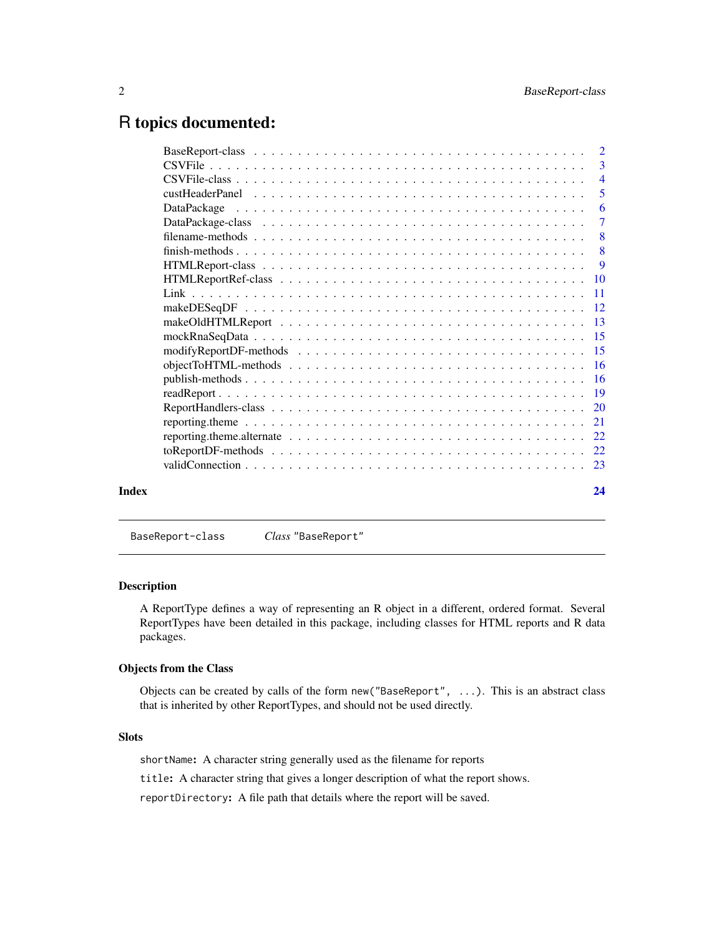### <span id="page-1-0"></span>R topics documented:

|       | reporting theme alternate $\ldots \ldots \ldots \ldots \ldots \ldots \ldots \ldots \ldots \ldots \ldots \ldots 22$ |  |
|-------|--------------------------------------------------------------------------------------------------------------------|--|
|       |                                                                                                                    |  |
|       |                                                                                                                    |  |
| Index | 24                                                                                                                 |  |
|       |                                                                                                                    |  |

## <span id="page-1-1"></span>BaseReport-class *Class* "BaseReport"

#### Description

A ReportType defines a way of representing an R object in a different, ordered format. Several ReportTypes have been detailed in this package, including classes for HTML reports and R data packages.

#### Objects from the Class

Objects can be created by calls of the form new("BaseReport", ...). This is an abstract class that is inherited by other ReportTypes, and should not be used directly.

#### Slots

shortName: A character string generally used as the filename for reports

title: A character string that gives a longer description of what the report shows.

reportDirectory: A file path that details where the report will be saved.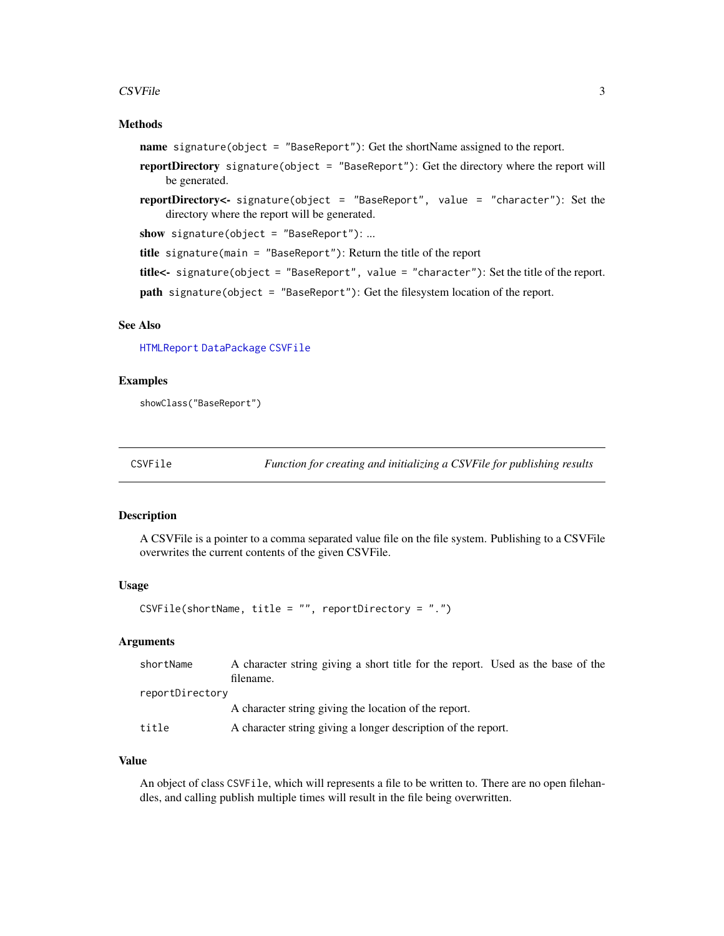#### <span id="page-2-0"></span> $\sum$ SVFile 3

#### Methods

- name signature(object = "BaseReport"): Get the shortName assigned to the report.
- reportDirectory signature(object = "BaseReport"): Get the directory where the report will be generated.
- reportDirectory<- signature(object = "BaseReport", value = "character"): Set the directory where the report will be generated.
- show signature(object = "BaseReport"): ...
- title signature(main = "BaseReport"): Return the title of the report
- title<- signature(object = "BaseReport", value = "character"): Set the title of the report.
- path signature(object = "BaseReport"): Get the filesystem location of the report.

#### See Also

[HTMLReport](#page-8-1) [DataPackage](#page-6-1) [CSVFile](#page-3-1)

#### Examples

showClass("BaseReport")

CSVFile *Function for creating and initializing a CSVFile for publishing results*

#### Description

A CSVFile is a pointer to a comma separated value file on the file system. Publishing to a CSVFile overwrites the current contents of the given CSVFile.

#### Usage

CSVFile(shortName, title = "", reportDirectory = ".")

#### Arguments

| shortName       | A character string giving a short title for the report. Used as the base of the |
|-----------------|---------------------------------------------------------------------------------|
|                 | filename.                                                                       |
| reportDirectory |                                                                                 |
|                 | A character string giving the location of the report.                           |
| title           | A character string giving a longer description of the report.                   |

#### Value

An object of class CSVFile, which will represents a file to be written to. There are no open filehandles, and calling publish multiple times will result in the file being overwritten.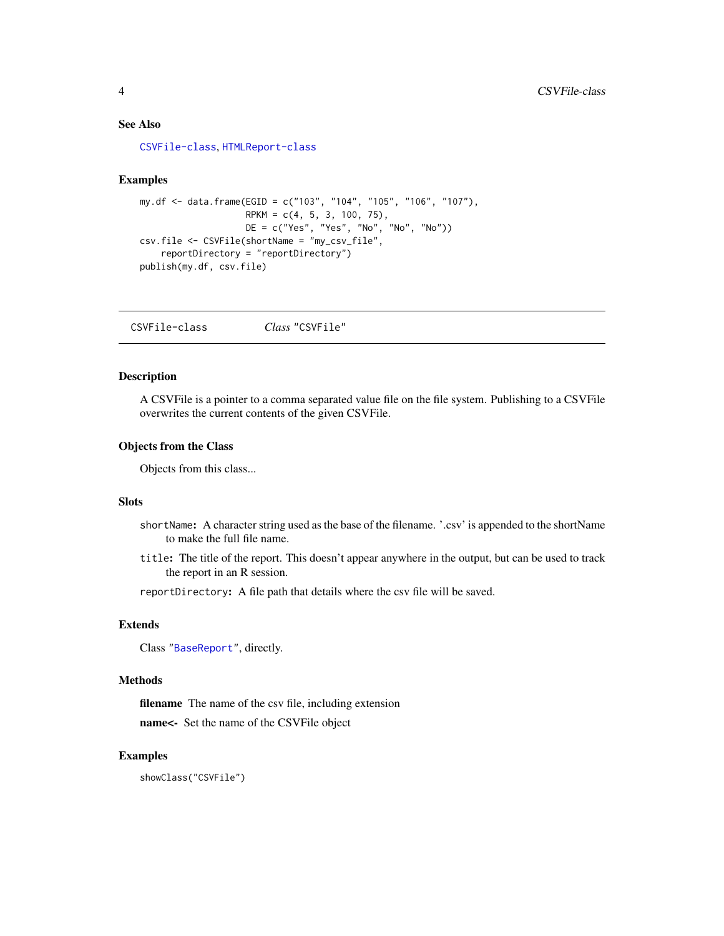#### <span id="page-3-0"></span>See Also

[CSVFile-class](#page-3-1), [HTMLReport-class](#page-8-1)

#### Examples

```
my.df <- data.frame(EGID = c("103", "104", "105", "106", "107"),
                    RPKM = c(4, 5, 3, 100, 75),
                    DE = c("Yes", "Yes", "No", "No", "No"))
csv.file <- CSVFile(shortName = "my_csv_file",
    reportDirectory = "reportDirectory")
publish(my.df, csv.file)
```
<span id="page-3-1"></span>CSVFile-class *Class* "CSVFile"

#### Description

A CSVFile is a pointer to a comma separated value file on the file system. Publishing to a CSVFile overwrites the current contents of the given CSVFile.

#### Objects from the Class

Objects from this class...

#### Slots

- shortName: A character string used as the base of the filename. '.csv' is appended to the shortName to make the full file name.
- title: The title of the report. This doesn't appear anywhere in the output, but can be used to track the report in an R session.

reportDirectory: A file path that details where the csv file will be saved.

#### Extends

Class ["BaseReport"](#page-1-1), directly.

#### Methods

filename The name of the csv file, including extension name<- Set the name of the CSVFile object

#### Examples

showClass("CSVFile")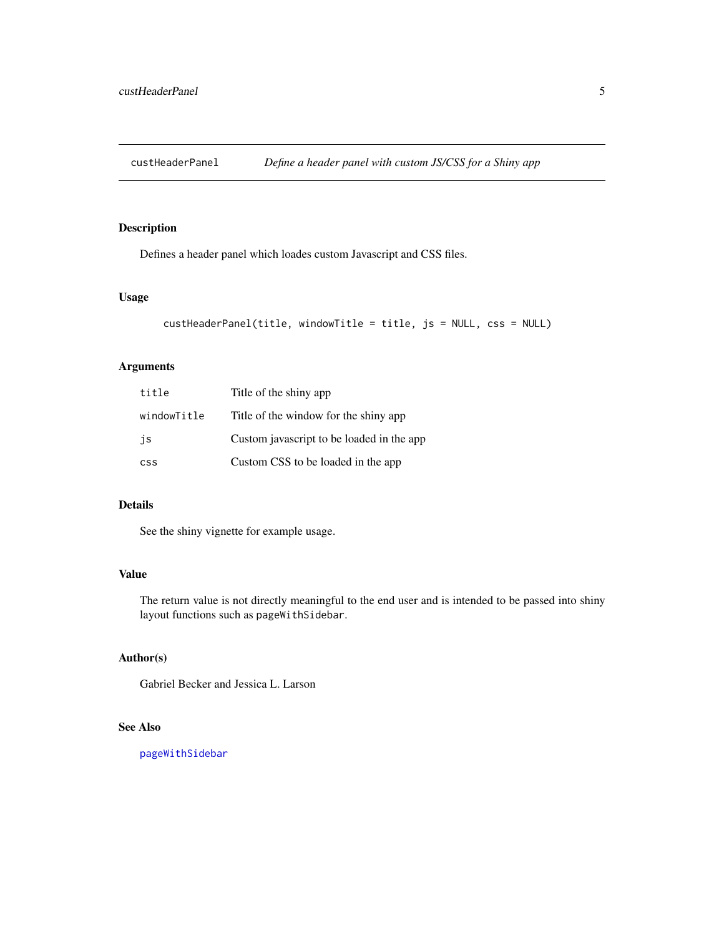<span id="page-4-0"></span>

#### Description

Defines a header panel which loades custom Javascript and CSS files.

#### Usage

```
custHeaderPanel(title, windowTitle = title, js = NULL, css = NULL)
```
#### Arguments

| title       | Title of the shiny app                    |
|-------------|-------------------------------------------|
| windowTitle | Title of the window for the shiny app     |
| is          | Custom javascript to be loaded in the app |
| <b>CSS</b>  | Custom CSS to be loaded in the app        |

#### Details

See the shiny vignette for example usage.

#### Value

The return value is not directly meaningful to the end user and is intended to be passed into shiny layout functions such as pageWithSidebar.

### Author(s)

Gabriel Becker and Jessica L. Larson

#### See Also

[pageWithSidebar](#page-0-0)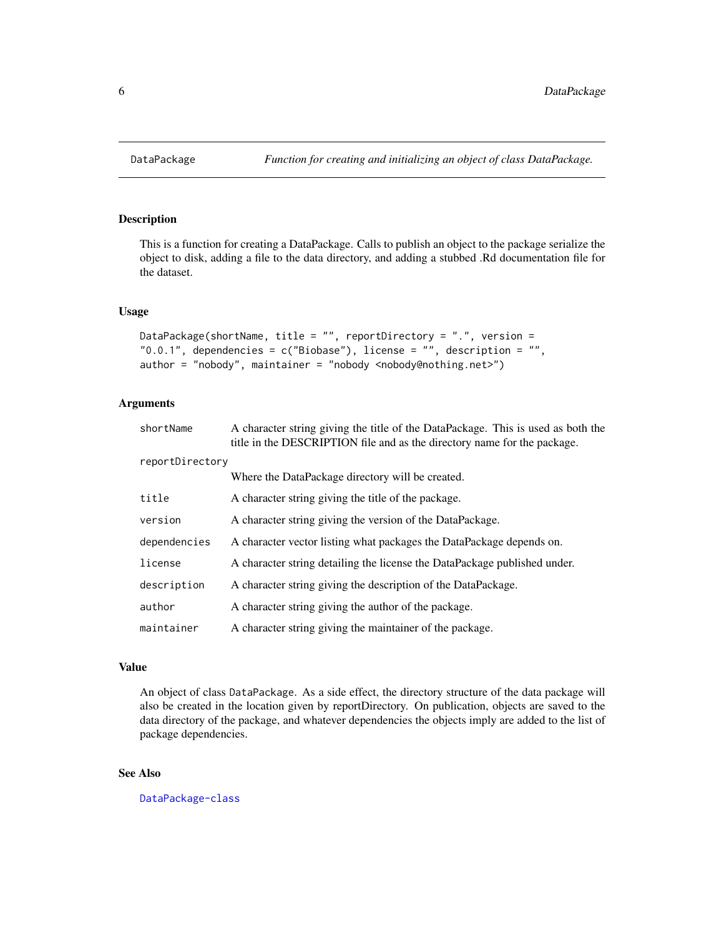#### Description

This is a function for creating a DataPackage. Calls to publish an object to the package serialize the object to disk, adding a file to the data directory, and adding a stubbed .Rd documentation file for the dataset.

#### Usage

```
DataPackage(shortName, title = "", reportDirectory = ".", version =
"0.0.1", dependencies = c("Biobase"), license = "", description = "",
author = "nobody", maintainer = "nobody <nobody@nothing.net>")
```
#### Arguments

| shortName       | A character string giving the title of the DataPackage. This is used as both the<br>title in the DESCRIPTION file and as the directory name for the package. |
|-----------------|--------------------------------------------------------------------------------------------------------------------------------------------------------------|
| reportDirectory |                                                                                                                                                              |
|                 | Where the DataPackage directory will be created.                                                                                                             |
| title           | A character string giving the title of the package.                                                                                                          |
| version         | A character string giving the version of the DataPackage.                                                                                                    |
| dependencies    | A character vector listing what packages the DataPackage depends on.                                                                                         |
| license         | A character string detailing the license the DataPackage published under.                                                                                    |
| description     | A character string giving the description of the DataPackage.                                                                                                |
| author          | A character string giving the author of the package.                                                                                                         |
| maintainer      | A character string giving the maintainer of the package.                                                                                                     |

#### Value

An object of class DataPackage. As a side effect, the directory structure of the data package will also be created in the location given by reportDirectory. On publication, objects are saved to the data directory of the package, and whatever dependencies the objects imply are added to the list of package dependencies.

#### See Also

[DataPackage-class](#page-6-1)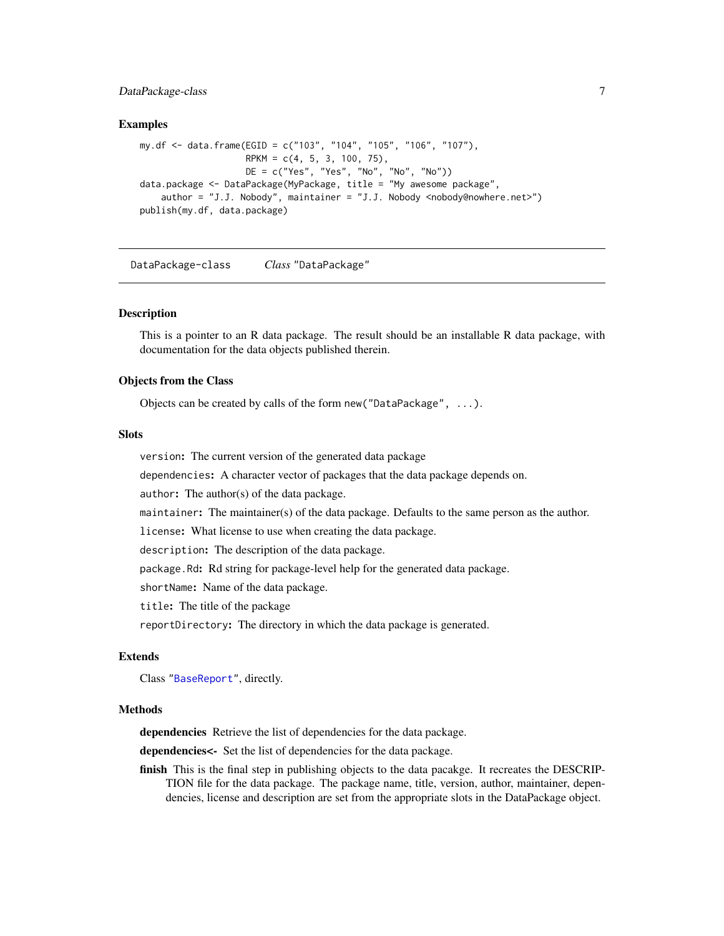#### <span id="page-6-0"></span>DataPackage-class 7

#### Examples

```
my.df <- data.frame(EGID = c("103", "104", "105", "106", "107"),
                   RPKM = c(4, 5, 3, 100, 75),
                   DE = c("Yes", "Yes", "No", "No", "No"))
data.package <- DataPackage(MyPackage, title = "My awesome package",
    author = "J.J. Nobody", maintainer = "J.J. Nobody <nobody@nowhere.net>")
publish(my.df, data.package)
```
<span id="page-6-1"></span>DataPackage-class *Class* "DataPackage"

#### **Description**

This is a pointer to an R data package. The result should be an installable R data package, with documentation for the data objects published therein.

#### Objects from the Class

Objects can be created by calls of the form new("DataPackage", ...).

#### **Slots**

version: The current version of the generated data package

dependencies: A character vector of packages that the data package depends on.

author: The author(s) of the data package.

maintainer: The maintainer(s) of the data package. Defaults to the same person as the author.

license: What license to use when creating the data package.

description: The description of the data package.

package.Rd: Rd string for package-level help for the generated data package.

shortName: Name of the data package.

title: The title of the package

reportDirectory: The directory in which the data package is generated.

#### Extends

Class ["BaseReport"](#page-1-1), directly.

#### Methods

dependencies Retrieve the list of dependencies for the data package.

dependencies<- Set the list of dependencies for the data package.

finish This is the final step in publishing objects to the data pacakge. It recreates the DESCRIP-TION file for the data package. The package name, title, version, author, maintainer, dependencies, license and description are set from the appropriate slots in the DataPackage object.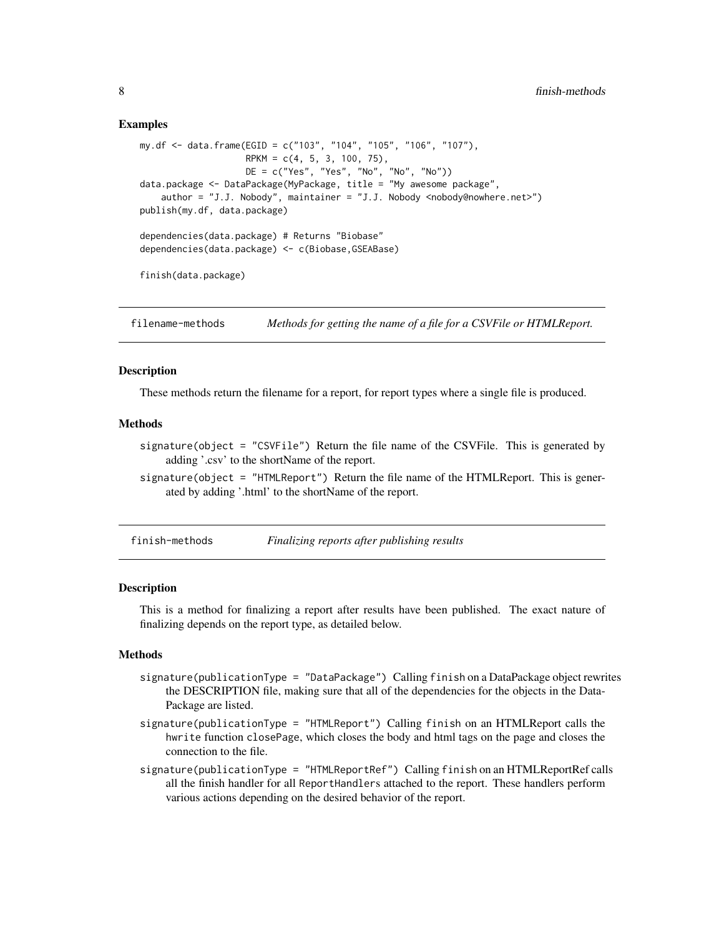#### <span id="page-7-0"></span>Examples

```
my.df <- data.frame(EGID = c("103", "104", "105", "106", "107"),
                    RPKM = c(4, 5, 3, 100, 75),
                    DE = c("Yes", "Yes", "No", "No", "No"))
data.package <- DataPackage(MyPackage, title = "My awesome package",
    author = "J.J. Nobody", maintainer = "J.J. Nobody <nobody@nowhere.net>")
publish(my.df, data.package)
dependencies(data.package) # Returns "Biobase"
dependencies(data.package) <- c(Biobase,GSEABase)
finish(data.package)
```
filename-methods *Methods for getting the name of a file for a CSVFile or HTMLReport.*

#### Description

These methods return the filename for a report, for report types where a single file is produced.

#### Methods

- signature(object = "CSVFile") Return the file name of the CSVFile. This is generated by adding '.csv' to the shortName of the report.
- signature(object = "HTMLReport") Return the file name of the HTMLReport. This is generated by adding '.html' to the shortName of the report.
- finish-methods *Finalizing reports after publishing results*

#### Description

This is a method for finalizing a report after results have been published. The exact nature of finalizing depends on the report type, as detailed below.

#### Methods

- signature(publicationType = "DataPackage") Calling finish on a DataPackage object rewrites the DESCRIPTION file, making sure that all of the dependencies for the objects in the Data-Package are listed.
- signature(publicationType = "HTMLReport") Calling finish on an HTMLReport calls the hwrite function closePage, which closes the body and html tags on the page and closes the connection to the file.
- signature(publicationType = "HTMLReportRef") Calling finish on an HTMLReportRef calls all the finish handler for all ReportHandlers attached to the report. These handlers perform various actions depending on the desired behavior of the report.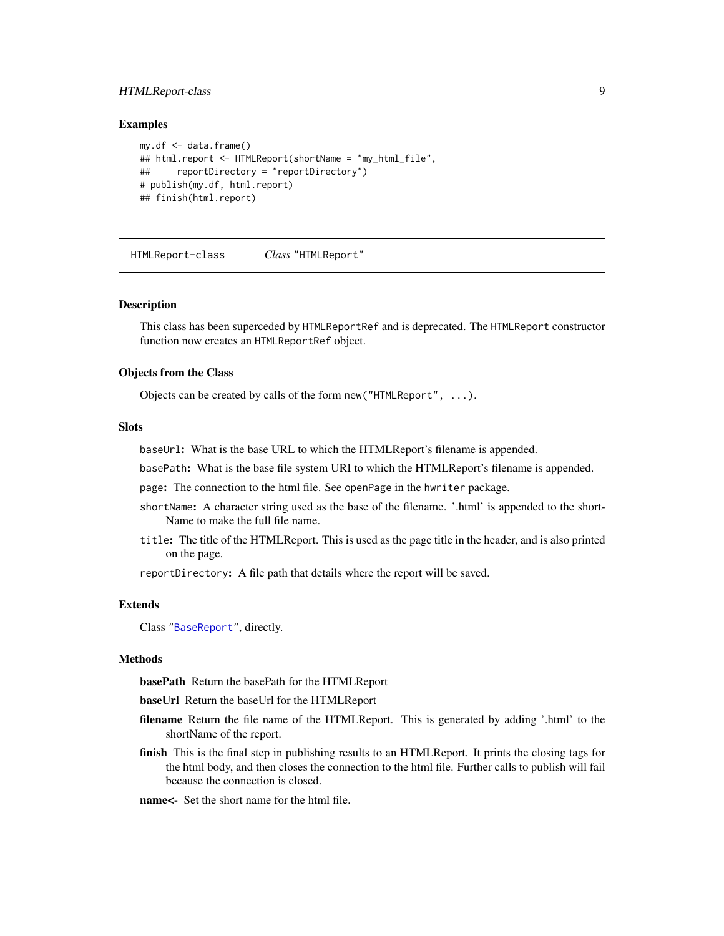#### <span id="page-8-0"></span>HTMLReport-class 9

#### Examples

```
my.df \leq -data.frame()## html.report <- HTMLReport(shortName = "my_html_file",
## reportDirectory = "reportDirectory")
# publish(my.df, html.report)
## finish(html.report)
```
<span id="page-8-1"></span>HTMLReport-class *Class* "HTMLReport"

#### **Description**

This class has been superceded by HTMLReportRef and is deprecated. The HTMLReport constructor function now creates an HTMLReportRef object.

#### Objects from the Class

Objects can be created by calls of the form new("HTMLReport", ...).

#### **Slots**

baseUrl: What is the base URL to which the HTMLReport's filename is appended.

basePath: What is the base file system URI to which the HTMLReport's filename is appended.

page: The connection to the html file. See openPage in the hwriter package.

- shortName: A character string used as the base of the filename. '.html' is appended to the short-Name to make the full file name.
- title: The title of the HTMLReport. This is used as the page title in the header, and is also printed on the page.

reportDirectory: A file path that details where the report will be saved.

#### Extends

Class ["BaseReport"](#page-1-1), directly.

#### Methods

basePath Return the basePath for the HTMLReport

baseUrl Return the baseUrl for the HTMLReport

- filename Return the file name of the HTMLReport. This is generated by adding '.html' to the shortName of the report.
- finish This is the final step in publishing results to an HTMLReport. It prints the closing tags for the html body, and then closes the connection to the html file. Further calls to publish will fail because the connection is closed.
- name<- Set the short name for the html file.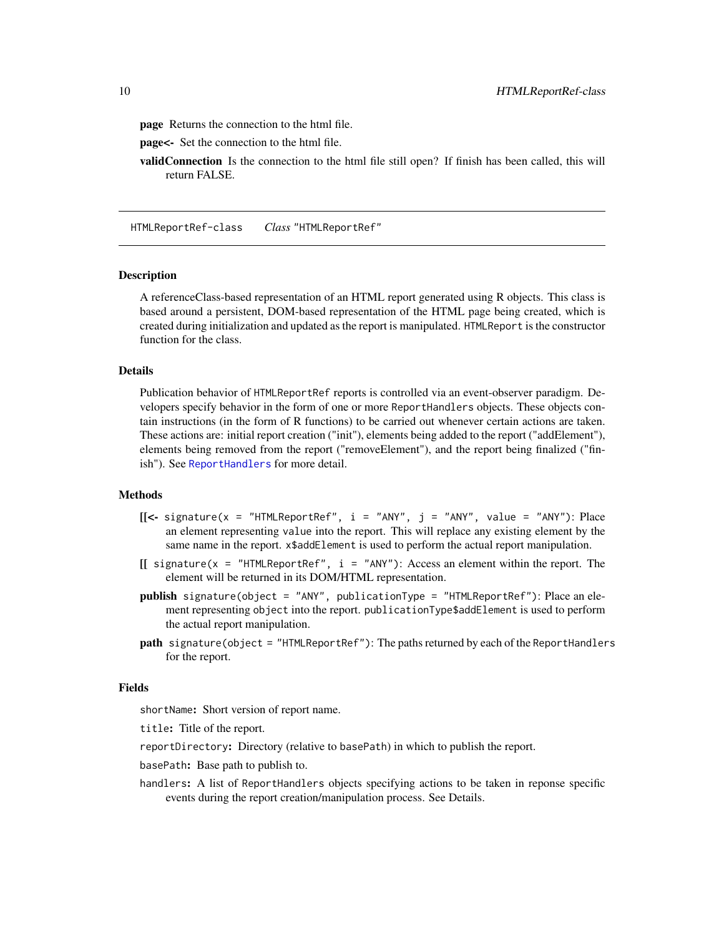<span id="page-9-0"></span>page Returns the connection to the html file.

page<- Set the connection to the html file.

validConnection Is the connection to the html file still open? If finish has been called, this will return FALSE.

<span id="page-9-1"></span>HTMLReportRef-class *Class* "HTMLReportRef"

#### **Description**

A referenceClass-based representation of an HTML report generated using R objects. This class is based around a persistent, DOM-based representation of the HTML page being created, which is created during initialization and updated as the report is manipulated. HTMLReport is the constructor function for the class.

#### Details

Publication behavior of HTMLReportRef reports is controlled via an event-observer paradigm. Developers specify behavior in the form of one or more ReportHandlers objects. These objects contain instructions (in the form of R functions) to be carried out whenever certain actions are taken. These actions are: initial report creation ("init"), elements being added to the report ("addElement"), elements being removed from the report ("removeElement"), and the report being finalized ("finish"). See [ReportHandlers](#page-19-1) for more detail.

#### Methods

- $[$ [<- signature(x = "HTMLReportRef", i = "ANY", j = "ANY", value = "ANY"): Place an element representing value into the report. This will replace any existing element by the same name in the report.  $x$ \$addElement is used to perform the actual report manipulation.
- $[$  signature(x = "HTMLReportRef", i = "ANY"): Access an element within the report. The element will be returned in its DOM/HTML representation.
- publish signature(object = "ANY", publicationType = "HTMLReportRef"): Place an element representing object into the report. publicationType\$addElement is used to perform the actual report manipulation.
- path signature(object = "HTMLReportRef"): The paths returned by each of the ReportHandlers for the report.

#### Fields

shortName: Short version of report name.

title: Title of the report.

reportDirectory: Directory (relative to basePath) in which to publish the report.

basePath: Base path to publish to.

handlers: A list of ReportHandlers objects specifying actions to be taken in reponse specific events during the report creation/manipulation process. See Details.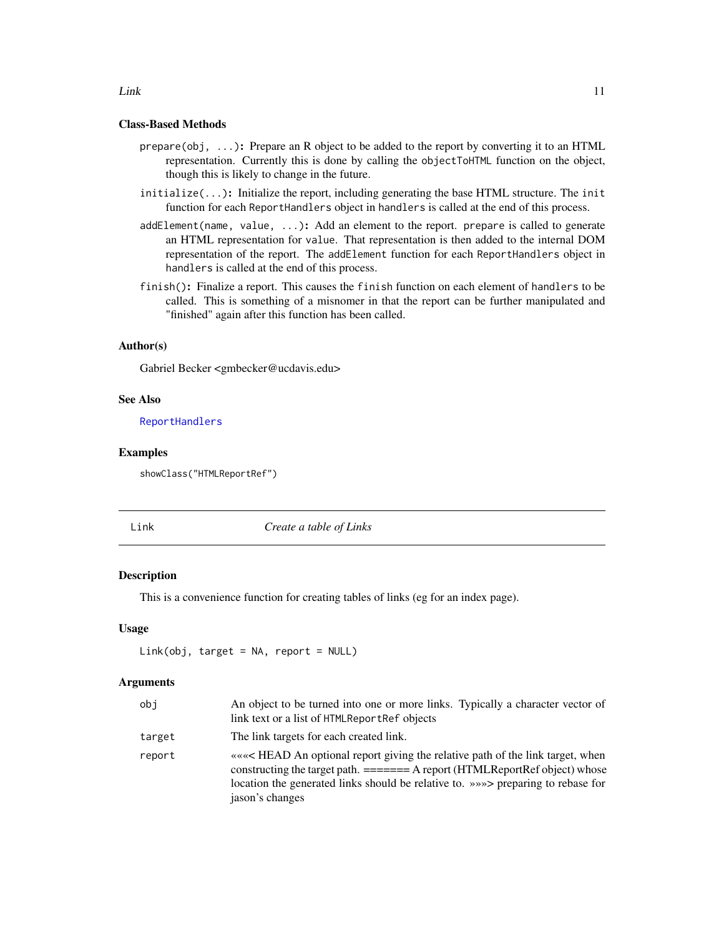#### Class-Based Methods

- $prepare(obj, \ldots)$ : Prepare an R object to be added to the report by converting it to an HTML representation. Currently this is done by calling the objectToHTML function on the object, though this is likely to change in the future.
- initialize(...): Initialize the report, including generating the base HTML structure. The init function for each ReportHandlers object in handlers is called at the end of this process.
- addElement(name, value, ...): Add an element to the report. prepare is called to generate an HTML representation for value. That representation is then added to the internal DOM representation of the report. The addElement function for each ReportHandlers object in handlers is called at the end of this process.
- finish(): Finalize a report. This causes the finish function on each element of handlers to be called. This is something of a misnomer in that the report can be further manipulated and "finished" again after this function has been called.

#### Author(s)

Gabriel Becker <gmbecker@ucdavis.edu>

#### See Also

[ReportHandlers](#page-19-1)

#### Examples

showClass("HTMLReportRef")

Link *Create a table of Links*

#### Description

This is a convenience function for creating tables of links (eg for an index page).

#### Usage

 $Link(obj, target = NA, report = NULL)$ 

#### Arguments

| obj    | An object to be turned into one or more links. Typically a character vector of<br>link text or a list of HTMLReportRef objects                                                                                                                                         |
|--------|------------------------------------------------------------------------------------------------------------------------------------------------------------------------------------------------------------------------------------------------------------------------|
| target | The link targets for each created link.                                                                                                                                                                                                                                |
| report | «««< HEAD An optional report giving the relative path of the link target, when<br>constructing the target path. ======= A report (HTMLReportRef object) whose<br>location the generated links should be relative to. » >>>> preparing to rebase for<br>jason's changes |

#### <span id="page-10-0"></span> $Link$  11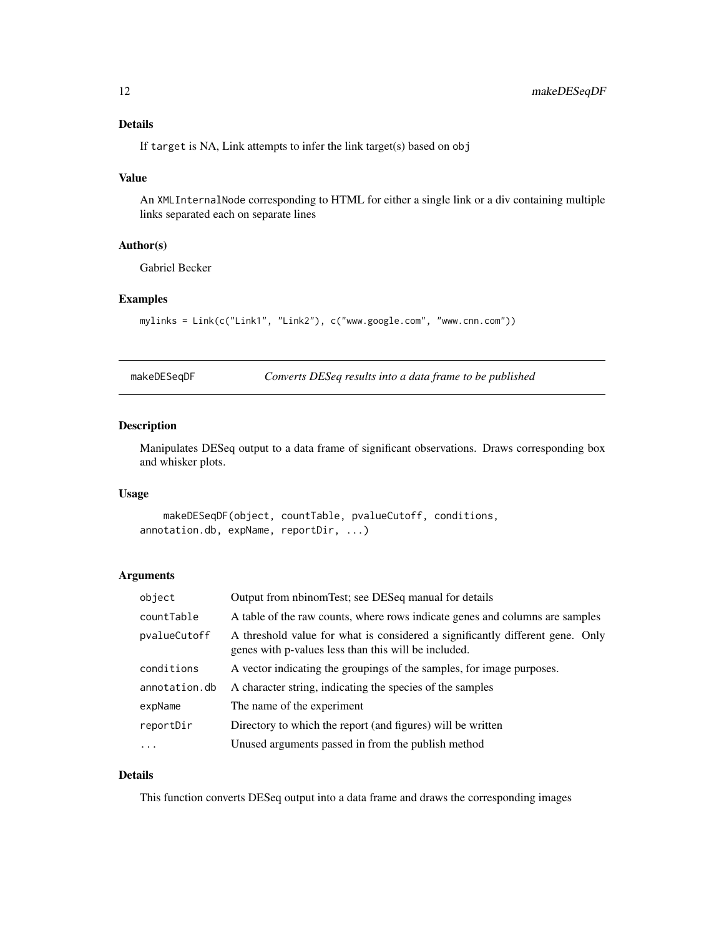#### <span id="page-11-0"></span>Details

If target is NA, Link attempts to infer the link target(s) based on obj

#### Value

An XMLInternalNode corresponding to HTML for either a single link or a div containing multiple links separated each on separate lines

#### Author(s)

Gabriel Becker

#### Examples

```
mylinks = Link(c("Link1", "Link2"), c("www.google.com", "www.cnn.com"))
```
makeDESeqDF *Converts DESeq results into a data frame to be published*

#### Description

Manipulates DESeq output to a data frame of significant observations. Draws corresponding box and whisker plots.

#### Usage

```
makeDESeqDF(object, countTable, pvalueCutoff, conditions,
annotation.db, expName, reportDir, ...)
```
#### Arguments

| object        | Output from nbinomTest; see DESeq manual for details                                                                                  |
|---------------|---------------------------------------------------------------------------------------------------------------------------------------|
| countTable    | A table of the raw counts, where rows indicate genes and columns are samples                                                          |
| pvalueCutoff  | A threshold value for what is considered a significantly different gene. Only<br>genes with p-values less than this will be included. |
| conditions    | A vector indicating the groupings of the samples, for image purposes.                                                                 |
| annotation.db | A character string, indicating the species of the samples                                                                             |
| expName       | The name of the experiment                                                                                                            |
| reportDir     | Directory to which the report (and figures) will be written                                                                           |
| $\cdot$       | Unused arguments passed in from the publish method                                                                                    |

#### Details

This function converts DESeq output into a data frame and draws the corresponding images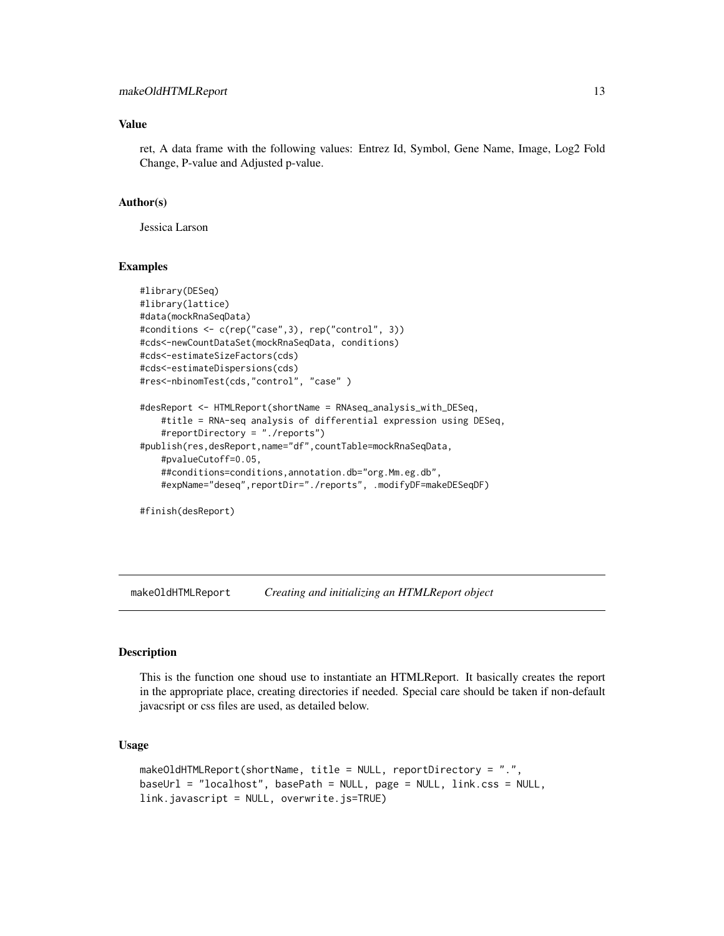#### <span id="page-12-0"></span>Value

ret, A data frame with the following values: Entrez Id, Symbol, Gene Name, Image, Log2 Fold Change, P-value and Adjusted p-value.

#### Author(s)

Jessica Larson

#### Examples

```
#library(DESeq)
#library(lattice)
#data(mockRnaSeqData)
#conditions <- c(rep("case",3), rep("control", 3))
#cds<-newCountDataSet(mockRnaSeqData, conditions)
#cds<-estimateSizeFactors(cds)
#cds<-estimateDispersions(cds)
#res<-nbinomTest(cds,"control", "case" )
#desReport <- HTMLReport(shortName = RNAseq_analysis_with_DESeq,
    #title = RNA-seq analysis of differential expression using DESeq,
    #reportDirectory = "./reports")
#publish(res,desReport,name="df",countTable=mockRnaSeqData,
    #pvalueCutoff=0.05,
    ##conditions=conditions,annotation.db="org.Mm.eg.db",
    #expName="deseq",reportDir="./reports", .modifyDF=makeDESeqDF)
```
#finish(desReport)

makeOldHTMLReport *Creating and initializing an HTMLReport object*

#### Description

This is the function one shoud use to instantiate an HTMLReport. It basically creates the report in the appropriate place, creating directories if needed. Special care should be taken if non-default javacsript or css files are used, as detailed below.

#### Usage

```
makeOldHTMLReport(shortName, title = NULL, reportDirectory = ".",
baseUrl = "localhost", basePath = NULL, page = NULL, link.css = NULL,
link.javascript = NULL, overwrite.js=TRUE)
```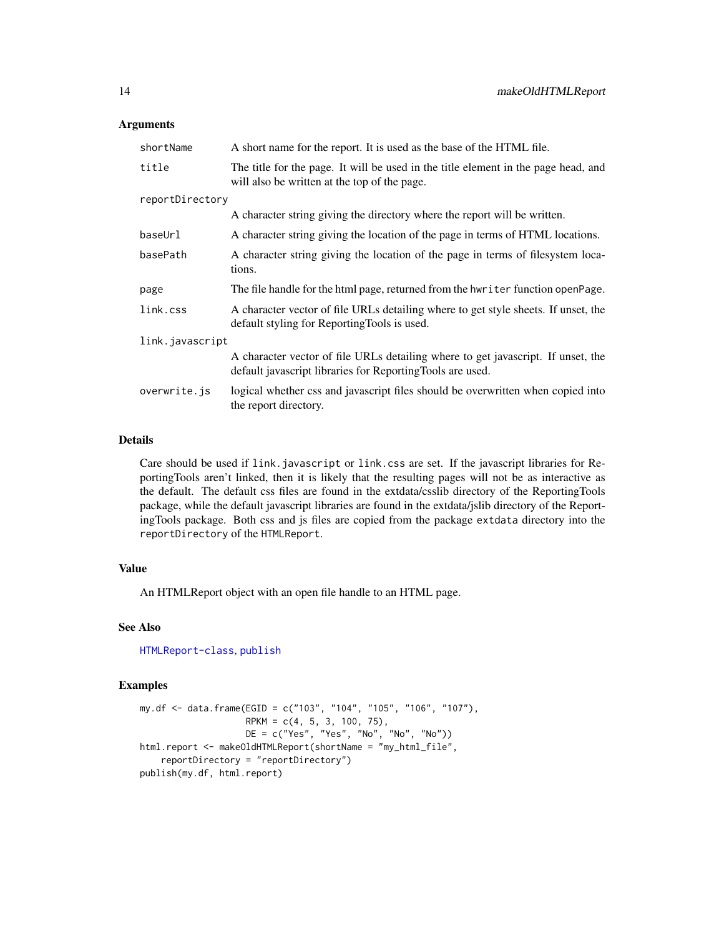#### Arguments

| shortName       | A short name for the report. It is used as the base of the HTML file.                                                                          |  |
|-----------------|------------------------------------------------------------------------------------------------------------------------------------------------|--|
| title           | The title for the page. It will be used in the title element in the page head, and<br>will also be written at the top of the page.             |  |
| reportDirectory |                                                                                                                                                |  |
|                 | A character string giving the directory where the report will be written.                                                                      |  |
| baseUrl         | A character string giving the location of the page in terms of HTML locations.                                                                 |  |
| basePath        | A character string giving the location of the page in terms of filesystem loca-<br>tions.                                                      |  |
| page            | The file handle for the html page, returned from the hwriter function open Page.                                                               |  |
| link.css        | A character vector of file URLs detailing where to get style sheets. If unset, the<br>default styling for Reporting Tools is used.             |  |
| link.javascript |                                                                                                                                                |  |
|                 | A character vector of file URLs detailing where to get javascript. If unset, the<br>default javascript libraries for Reporting Tools are used. |  |
| overwrite.js    | logical whether css and javascript files should be overwritten when copied into<br>the report directory.                                       |  |

#### Details

Care should be used if link.javascript or link.css are set. If the javascript libraries for ReportingTools aren't linked, then it is likely that the resulting pages will not be as interactive as the default. The default css files are found in the extdata/csslib directory of the ReportingTools package, while the default javascript libraries are found in the extdata/jslib directory of the ReportingTools package. Both css and js files are copied from the package extdata directory into the reportDirectory of the HTMLReport.

#### Value

An HTMLReport object with an open file handle to an HTML page.

#### See Also

[HTMLReport-class](#page-8-1), [publish](#page-15-1)

#### Examples

```
my.df <- data.frame(EGID = c("103", "104", "105", "106", "107"),
                    RPKM = c(4, 5, 3, 100, 75),
                   DE = c("Yes", "Yes", "No", "No", "No"))
html.report <- makeOldHTMLReport(shortName = "my_html_file",
   reportDirectory = "reportDirectory")
publish(my.df, html.report)
```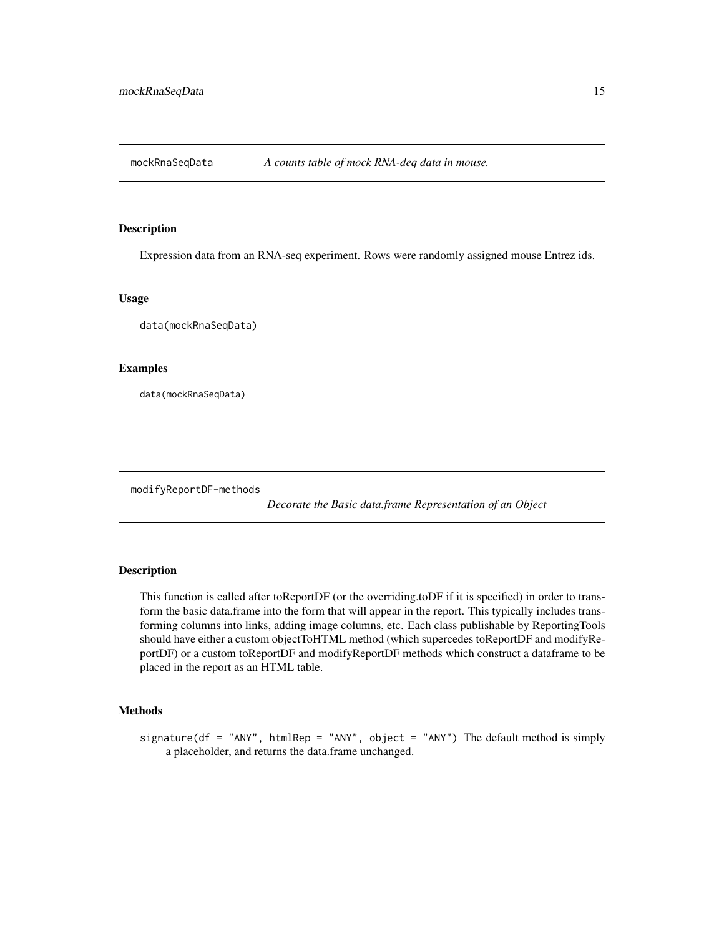<span id="page-14-0"></span>

#### Description

Expression data from an RNA-seq experiment. Rows were randomly assigned mouse Entrez ids.

#### Usage

data(mockRnaSeqData)

#### Examples

data(mockRnaSeqData)

modifyReportDF-methods

*Decorate the Basic data.frame Representation of an Object*

#### <span id="page-14-1"></span>Description

This function is called after toReportDF (or the overriding.toDF if it is specified) in order to transform the basic data.frame into the form that will appear in the report. This typically includes transforming columns into links, adding image columns, etc. Each class publishable by ReportingTools should have either a custom objectToHTML method (which supercedes toReportDF and modifyReportDF) or a custom toReportDF and modifyReportDF methods which construct a dataframe to be placed in the report as an HTML table.

#### Methods

signature(df = "ANY", htmlRep = "ANY", object = "ANY") The default method is simply a placeholder, and returns the data.frame unchanged.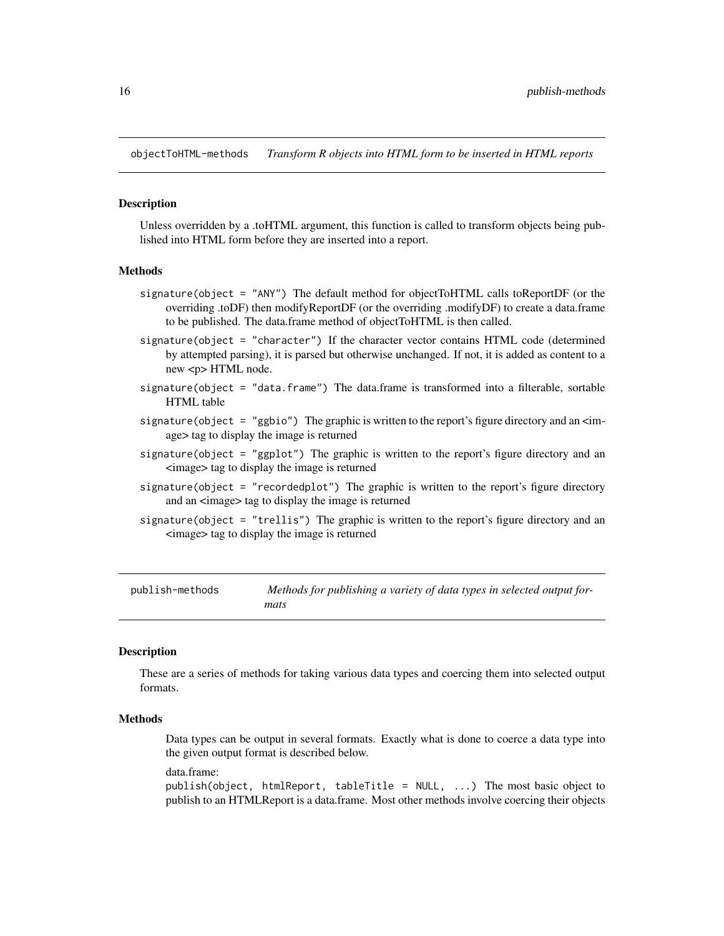<span id="page-15-0"></span>objectToHTML-methods *Transform R objects into HTML form to be inserted in HTML reports*

#### Description

Unless overridden by a .toHTML argument, this function is called to transform objects being published into HTML form before they are inserted into a report.

#### Methods

- signature(object = "ANY") The default method for objectToHTML calls toReportDF (or the overriding .toDF) then modifyReportDF (or the overriding .modifyDF) to create a data.frame to be published. The data.frame method of objectToHTML is then called.
- signature(object = "character") If the character vector contains HTML code (determined by attempted parsing), it is parsed but otherwise unchanged. If not, it is added as content to a new <p> HTML node.
- signature(object = "data.frame") The data.frame is transformed into a filterable, sortable HTML table
- signature(object = "ggbio") The graphic is written to the report's figure directory and an  $\leq$ image> tag to display the image is returned
- signature(object = "ggplot") The graphic is written to the report's figure directory and an <image> tag to display the image is returned
- signature(object = "recordedplot") The graphic is written to the report's figure directory and an <image> tag to display the image is returned
- signature(object = "trellis") The graphic is written to the report's figure directory and an <image> tag to display the image is returned

publish-methods *Methods for publishing a variety of data types in selected output formats*

#### <span id="page-15-1"></span>**Description**

These are a series of methods for taking various data types and coercing them into selected output formats.

#### Methods

Data types can be output in several formats. Exactly what is done to coerce a data type into the given output format is described below.

data.frame:

publish(object, htmlReport, tableTitle = NULL, ...) The most basic object to publish to an HTMLReport is a data.frame. Most other methods involve coercing their objects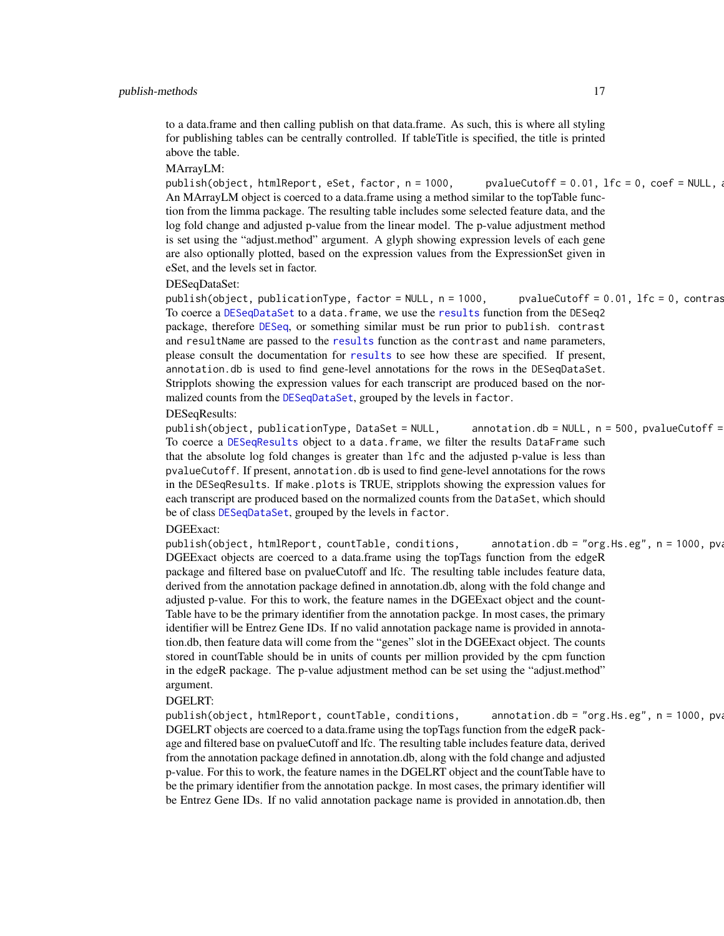to a data.frame and then calling publish on that data.frame. As such, this is where all styling for publishing tables can be centrally controlled. If tableTitle is specified, the title is printed above the table.

#### MArrayLM:

publish(object, htmlReport, eSet, factor, n = 1000, pvalueCutoff = 0.01, lfc = 0, coef = NULL, ... An MArrayLM object is coerced to a data.frame using a method similar to the topTable function from the limma package. The resulting table includes some selected feature data, and the log fold change and adjusted p-value from the linear model. The p-value adjustment method is set using the "adjust.method" argument. A glyph showing expression levels of each gene are also optionally plotted, based on the expression values from the ExpressionSet given in eSet, and the levels set in factor.

DESeqDataSet:

publish(object, publicationType, factor = NULL,  $n = 1000$ , pvalueCutoff = 0.01, lfc = 0, contras To coerce a [DESeqDataSet](#page-0-0) to a data.frame, we use the [results](#page-0-0) function from the DESeq2 package, therefore [DESeq](#page-0-0), or something similar must be run prior to publish. contrast and resultName are passed to the [results](#page-0-0) function as the contrast and name parameters, please consult the documentation for [results](#page-0-0) to see how these are specified. If present, annotation.db is used to find gene-level annotations for the rows in the DESeqDataSet. Stripplots showing the expression values for each transcript are produced based on the normalized counts from the [DESeqDataSet](#page-0-0), grouped by the levels in factor.

#### DESeqResults:

 $publicationType, DataSet = NULL,$  annotation.db = NULL, n = 500, pvalueCutoff = To coerce a [DESeqResults](#page-0-0) object to a data.frame, we filter the results DataFrame such that the absolute log fold changes is greater than lfc and the adjusted p-value is less than pvalueCutoff. If present, annotation.db is used to find gene-level annotations for the rows in the DESeqResults. If make.plots is TRUE, stripplots showing the expression values for each transcript are produced based on the normalized counts from the DataSet, which should be of class [DESeqDataSet](#page-0-0), grouped by the levels in factor.

#### DGEExact:

publish(object, htmlReport, countTable, conditions, annotation.db = "org.Hs.eg", n = 1000, pv. DGEExact objects are coerced to a data.frame using the topTags function from the edgeR package and filtered base on pvalueCutoff and lfc. The resulting table includes feature data, derived from the annotation package defined in annotation.db, along with the fold change and adjusted p-value. For this to work, the feature names in the DGEExact object and the count-Table have to be the primary identifier from the annotation packge. In most cases, the primary identifier will be Entrez Gene IDs. If no valid annotation package name is provided in annotation.db, then feature data will come from the "genes" slot in the DGEExact object. The counts stored in countTable should be in units of counts per million provided by the cpm function in the edgeR package. The p-value adjustment method can be set using the "adjust.method" argument.

#### DGELRT:

publish(object, htmlReport, countTable, conditions, annotation.db = "org.Hs.eg", n = 1000, pv. DGELRT objects are coerced to a data.frame using the topTags function from the edgeR package and filtered base on pvalueCutoff and lfc. The resulting table includes feature data, derived from the annotation package defined in annotation.db, along with the fold change and adjusted p-value. For this to work, the feature names in the DGELRT object and the countTable have to be the primary identifier from the annotation packge. In most cases, the primary identifier will be Entrez Gene IDs. If no valid annotation package name is provided in annotation.db, then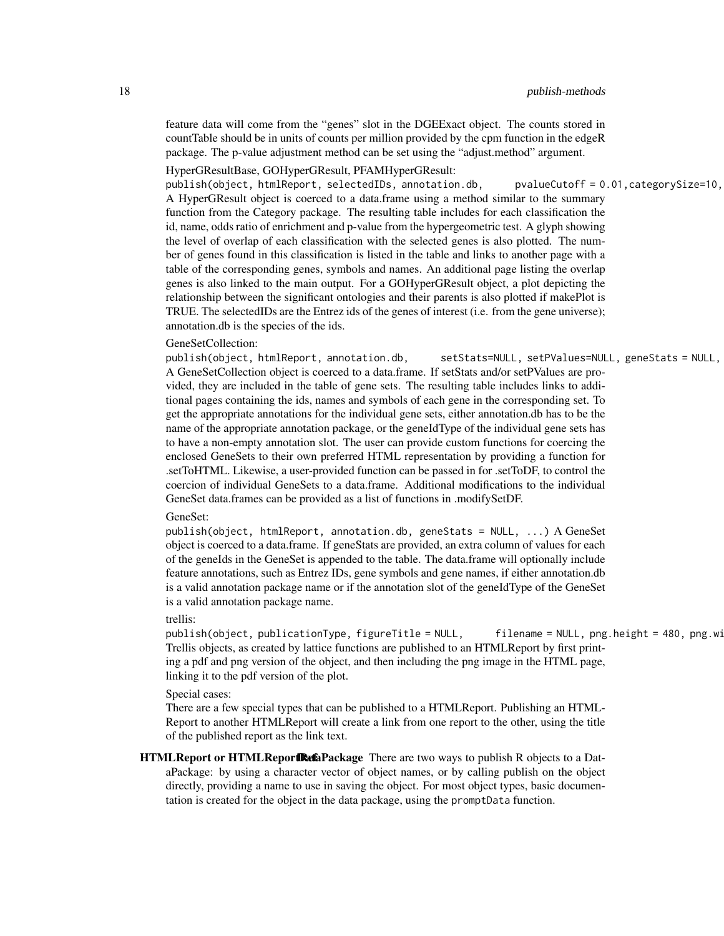feature data will come from the "genes" slot in the DGEExact object. The counts stored in countTable should be in units of counts per million provided by the cpm function in the edgeR package. The p-value adjustment method can be set using the "adjust.method" argument.

#### HyperGResultBase, GOHyperGResult, PFAMHyperGResult:

publish(object, htmlReport, selectedIDs, annotation.db, pvalueCutoff = 0.01, categorySize=10, A HyperGResult object is coerced to a data.frame using a method similar to the summary function from the Category package. The resulting table includes for each classification the id, name, odds ratio of enrichment and p-value from the hypergeometric test. A glyph showing the level of overlap of each classification with the selected genes is also plotted. The number of genes found in this classification is listed in the table and links to another page with a table of the corresponding genes, symbols and names. An additional page listing the overlap genes is also linked to the main output. For a GOHyperGResult object, a plot depicting the relationship between the significant ontologies and their parents is also plotted if makePlot is TRUE. The selectedIDs are the Entrez ids of the genes of interest (i.e. from the gene universe); annotation.db is the species of the ids.

#### GeneSetCollection:

publish(object, htmlReport, annotation.db, setStats=NULL, setPValues=NULL, geneStats = NULL, A GeneSetCollection object is coerced to a data.frame. If setStats and/or setPValues are provided, they are included in the table of gene sets. The resulting table includes links to additional pages containing the ids, names and symbols of each gene in the corresponding set. To get the appropriate annotations for the individual gene sets, either annotation.db has to be the name of the appropriate annotation package, or the geneIdType of the individual gene sets has to have a non-empty annotation slot. The user can provide custom functions for coercing the enclosed GeneSets to their own preferred HTML representation by providing a function for .setToHTML. Likewise, a user-provided function can be passed in for .setToDF, to control the coercion of individual GeneSets to a data.frame. Additional modifications to the individual GeneSet data.frames can be provided as a list of functions in .modifySetDF.

#### GeneSet:

publish(object, htmlReport, annotation.db, geneStats = NULL, ...) A GeneSet object is coerced to a data.frame. If geneStats are provided, an extra column of values for each of the geneIds in the GeneSet is appended to the table. The data.frame will optionally include feature annotations, such as Entrez IDs, gene symbols and gene names, if either annotation.db is a valid annotation package name or if the annotation slot of the geneIdType of the GeneSet is a valid annotation package name.

#### trellis:

publish(object, publicationType, figureTitle = NULL, filename = NULL, png.height = 480, png.wi Trellis objects, as created by lattice functions are published to an HTMLReport by first printing a pdf and png version of the object, and then including the png image in the HTML page, linking it to the pdf version of the plot.

#### Special cases:

There are a few special types that can be published to a HTMLReport. Publishing an HTML-Report to another HTMLReport will create a link from one report to the other, using the title of the published report as the link text.

HTMLReport or HTMLReportRetaPackage There are two ways to publish R objects to a DataPackage: by using a character vector of object names, or by calling publish on the object directly, providing a name to use in saving the object. For most object types, basic documentation is created for the object in the data package, using the promptData function.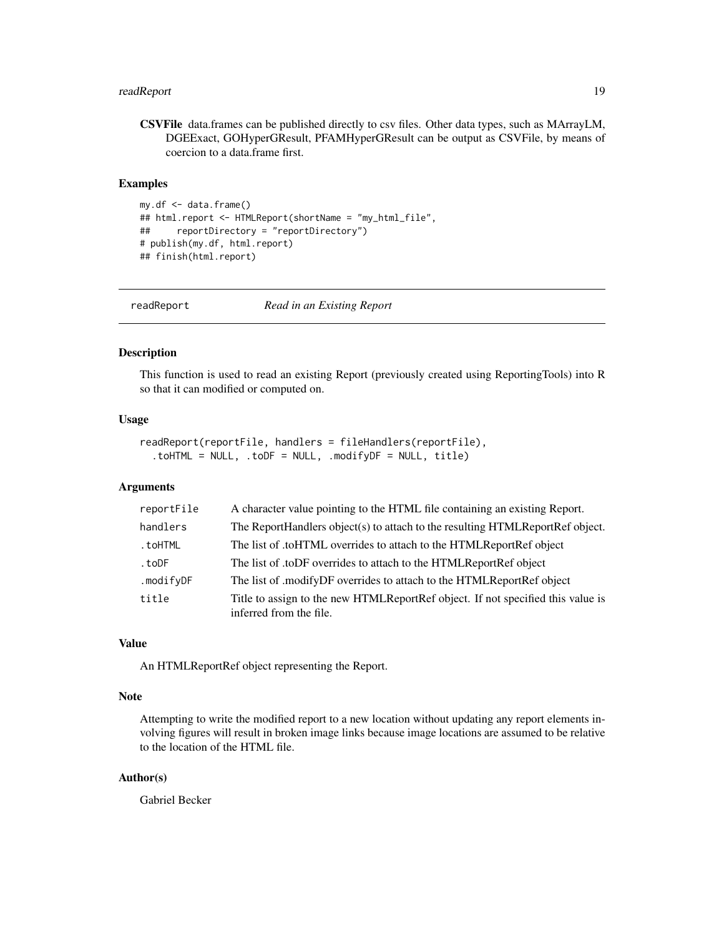#### <span id="page-18-0"></span>readReport 19

CSVFile data.frames can be published directly to csv files. Other data types, such as MArrayLM, DGEExact, GOHyperGResult, PFAMHyperGResult can be output as CSVFile, by means of coercion to a data.frame first.

#### **Examples**

```
my.df <- data.frame()
## html.report <- HTMLReport(shortName = "my_html_file",
## reportDirectory = "reportDirectory")
# publish(my.df, html.report)
## finish(html.report)
```
readReport *Read in an Existing Report*

#### Description

This function is used to read an existing Report (previously created using ReportingTools) into R so that it can modified or computed on.

#### Usage

```
readReport(reportFile, handlers = fileHandlers(reportFile),
  .toHTML = NULL, .toDF = NULL, .modifyDF = NULL, title)
```
#### Arguments

| reportFile | A character value pointing to the HTML file containing an existing Report.                                 |
|------------|------------------------------------------------------------------------------------------------------------|
| handlers   | The ReportHandlers object(s) to attach to the resulting HTMLReportRef object.                              |
| .toHTML    | The list of .toHTML overrides to attach to the HTMLReportRef object                                        |
| .toDF      | The list of .toDF overrides to attach to the HTMLReportRef object                                          |
| .modifyDF  | The list of .modifyDF overrides to attach to the HTMLReportRef object                                      |
| title      | Title to assign to the new HTMLReportRef object. If not specified this value is<br>inferred from the file. |

#### Value

An HTMLReportRef object representing the Report.

#### Note

Attempting to write the modified report to a new location without updating any report elements involving figures will result in broken image links because image locations are assumed to be relative to the location of the HTML file.

#### Author(s)

Gabriel Becker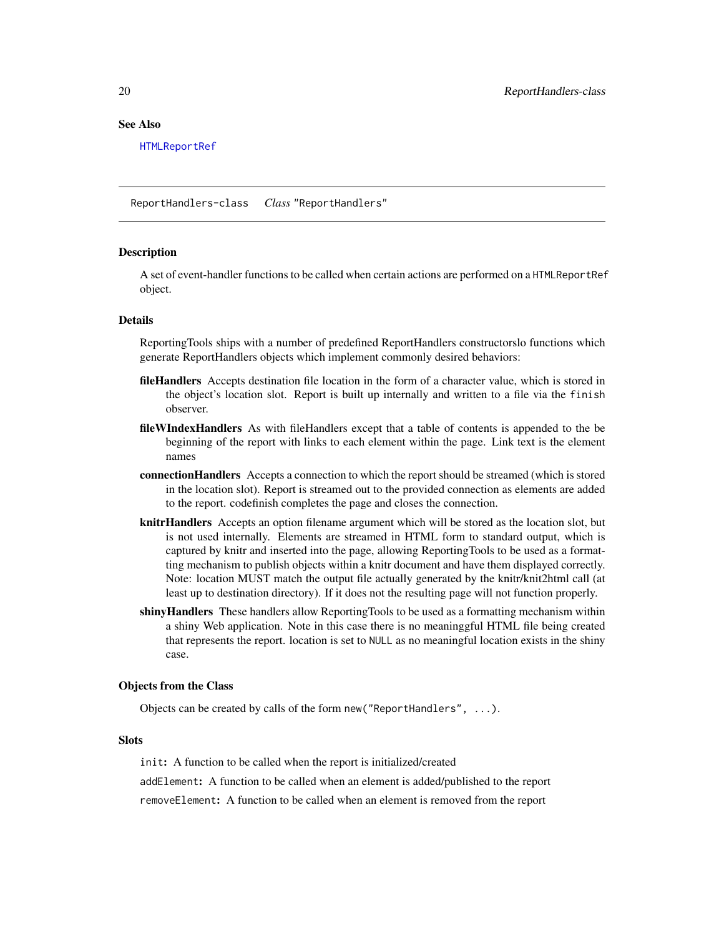#### <span id="page-19-0"></span>See Also

[HTMLReportRef](#page-9-1)

<span id="page-19-1"></span>ReportHandlers-class *Class* "ReportHandlers"

#### Description

A set of event-handler functions to be called when certain actions are performed on a HTMLReportRef object.

#### Details

ReportingTools ships with a number of predefined ReportHandlers constructorslo functions which generate ReportHandlers objects which implement commonly desired behaviors:

- file Handlers Accepts destination file location in the form of a character value, which is stored in the object's location slot. Report is built up internally and written to a file via the finish observer.
- fileWIndexHandlers As with fileHandlers except that a table of contents is appended to the be beginning of the report with links to each element within the page. Link text is the element names
- connectionHandlers Accepts a connection to which the report should be streamed (which is stored in the location slot). Report is streamed out to the provided connection as elements are added to the report. codefinish completes the page and closes the connection.
- knitrHandlers Accepts an option filename argument which will be stored as the location slot, but is not used internally. Elements are streamed in HTML form to standard output, which is captured by knitr and inserted into the page, allowing ReportingTools to be used as a formatting mechanism to publish objects within a knitr document and have them displayed correctly. Note: location MUST match the output file actually generated by the knitr/knit2html call (at least up to destination directory). If it does not the resulting page will not function properly.
- shiny Handlers These handlers allow Reporting Tools to be used as a formatting mechanism within a shiny Web application. Note in this case there is no meaninggful HTML file being created that represents the report. location is set to NULL as no meaningful location exists in the shiny case.

#### Objects from the Class

Objects can be created by calls of the form new("ReportHandlers", ...).

#### **Slots**

init: A function to be called when the report is initialized/created

addElement: A function to be called when an element is added/published to the report

removeElement: A function to be called when an element is removed from the report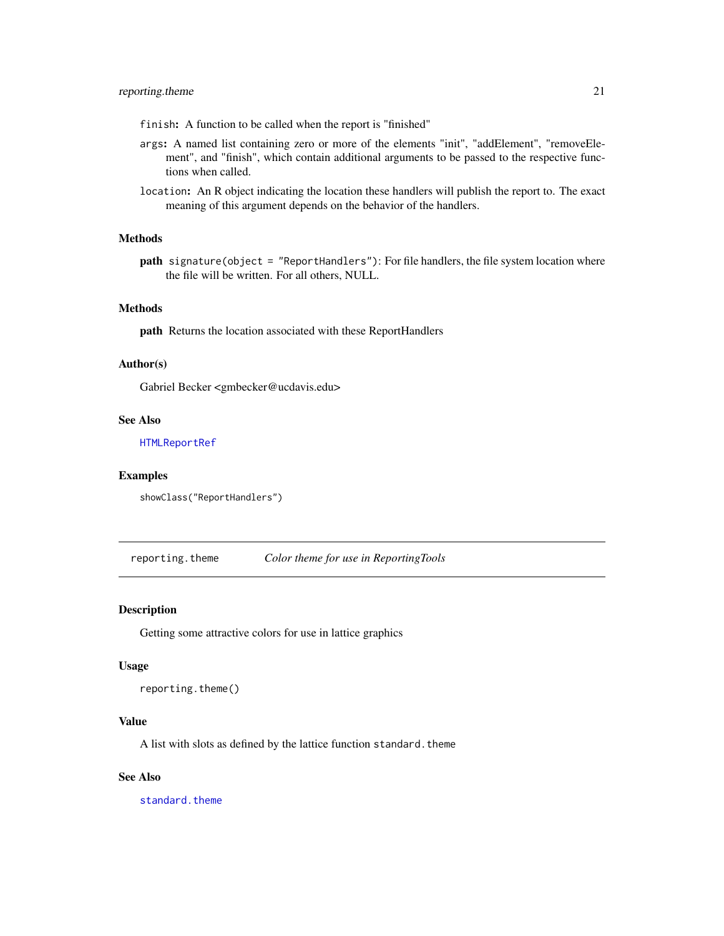<span id="page-20-0"></span>finish: A function to be called when the report is "finished"

- args: A named list containing zero or more of the elements "init", "addElement", "removeElement", and "finish", which contain additional arguments to be passed to the respective functions when called.
- location: An R object indicating the location these handlers will publish the report to. The exact meaning of this argument depends on the behavior of the handlers.

#### Methods

path signature(object = "ReportHandlers"): For file handlers, the file system location where the file will be written. For all others, NULL.

#### Methods

path Returns the location associated with these ReportHandlers

#### Author(s)

Gabriel Becker <gmbecker@ucdavis.edu>

#### See Also

[HTMLReportRef](#page-9-1)

#### Examples

showClass("ReportHandlers")

reporting.theme *Color theme for use in ReportingTools*

#### Description

Getting some attractive colors for use in lattice graphics

#### Usage

reporting.theme()

#### Value

A list with slots as defined by the lattice function standard.theme

#### See Also

[standard.theme](#page-0-0)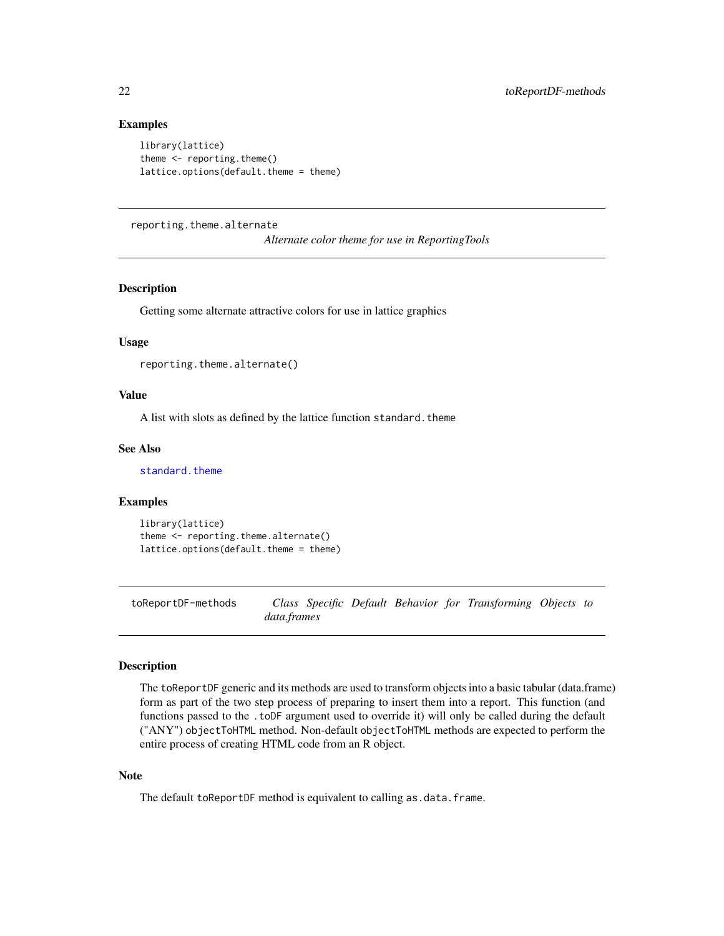#### <span id="page-21-0"></span>Examples

```
library(lattice)
theme \leq reporting.theme()
lattice.options(default.theme = theme)
```
reporting.theme.alternate

*Alternate color theme for use in ReportingTools*

#### Description

Getting some alternate attractive colors for use in lattice graphics

#### Usage

```
reporting.theme.alternate()
```
#### Value

A list with slots as defined by the lattice function standard.theme

#### See Also

[standard.theme](#page-0-0)

#### Examples

```
library(lattice)
theme <- reporting.theme.alternate()
lattice.options(default.theme = theme)
```
toReportDF-methods *Class Specific Default Behavior for Transforming Objects to data.frames*

#### Description

The toReportDF generic and its methods are used to transform objects into a basic tabular (data.frame) form as part of the two step process of preparing to insert them into a report. This function (and functions passed to the .toDF argument used to override it) will only be called during the default ("ANY") objectToHTML method. Non-default objectToHTML methods are expected to perform the entire process of creating HTML code from an R object.

#### Note

The default toReportDF method is equivalent to calling as.data.frame.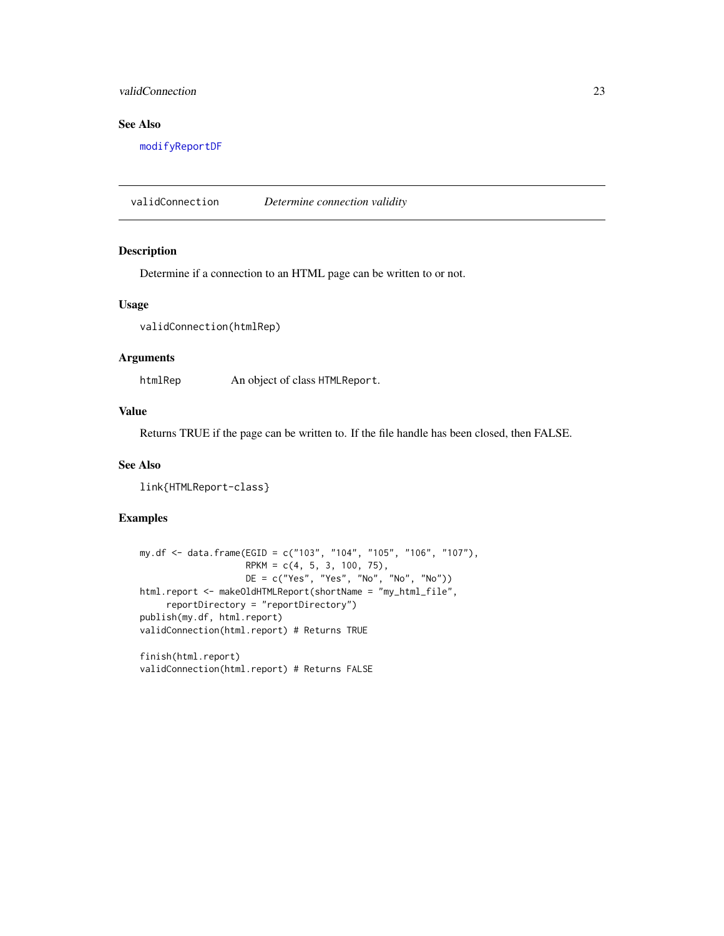#### <span id="page-22-0"></span>validConnection 23

#### See Also

[modifyReportDF](#page-14-1)

validConnection *Determine connection validity*

#### Description

Determine if a connection to an HTML page can be written to or not.

#### Usage

```
validConnection(htmlRep)
```
#### Arguments

htmlRep An object of class HTMLReport.

#### Value

Returns TRUE if the page can be written to. If the file handle has been closed, then FALSE.

#### See Also

link{HTMLReport-class}

#### Examples

```
my.df <- data.frame(EGID = c("103", "104", "105", "106", "107"),
                    RPKM = c(4, 5, 3, 100, 75),
                    DE = c("Yes", "Yes", "No", "No", "No"))
html.report <- makeOldHTMLReport(shortName = "my_html_file",
     reportDirectory = "reportDirectory")
publish(my.df, html.report)
validConnection(html.report) # Returns TRUE
```
finish(html.report) validConnection(html.report) # Returns FALSE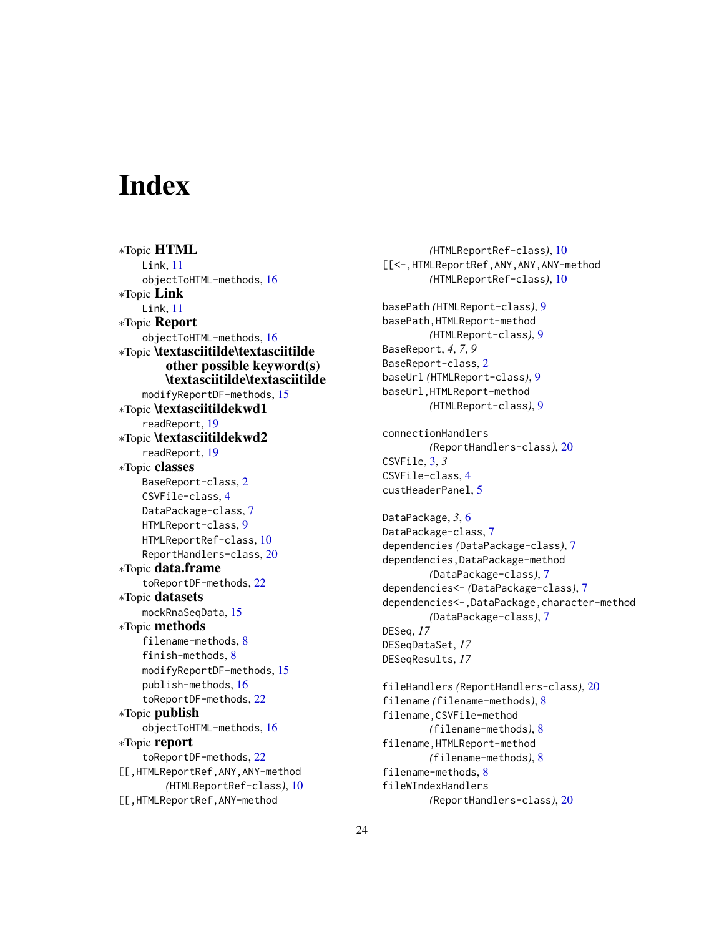# <span id="page-23-0"></span>**Index**

∗Topic HTML Link, [11](#page-10-0) objectToHTML-methods, [16](#page-15-0) ∗Topic Link Link, [11](#page-10-0) ∗Topic Report objectToHTML-methods, [16](#page-15-0) ∗Topic \textasciitilde\textasciitilde other possible keyword(s) \textasciitilde\textasciitilde modifyReportDF-methods, [15](#page-14-0) ∗Topic \textasciitildekwd1 readReport, [19](#page-18-0) ∗Topic \textasciitildekwd2 readReport, [19](#page-18-0) ∗Topic classes BaseReport-class, [2](#page-1-0) CSVFile-class, [4](#page-3-0) DataPackage-class, [7](#page-6-0) HTMLReport-class, [9](#page-8-0) HTMLReportRef-class, [10](#page-9-0) ReportHandlers-class, [20](#page-19-0) ∗Topic data.frame toReportDF-methods, [22](#page-21-0) ∗Topic datasets mockRnaSeqData, [15](#page-14-0) ∗Topic methods filename-methods, [8](#page-7-0) finish-methods, [8](#page-7-0) modifyReportDF-methods, [15](#page-14-0) publish-methods, [16](#page-15-0) toReportDF-methods, [22](#page-21-0) ∗Topic publish objectToHTML-methods, [16](#page-15-0) ∗Topic report toReportDF-methods, [22](#page-21-0) [[,HTMLReportRef,ANY,ANY-method *(*HTMLReportRef-class*)*, [10](#page-9-0) [[,HTMLReportRef,ANY-method

*(*HTMLReportRef-class*)*, [10](#page-9-0) [[<-,HTMLReportRef,ANY,ANY,ANY-method *(*HTMLReportRef-class*)*, [10](#page-9-0) basePath *(*HTMLReport-class*)*, [9](#page-8-0) basePath,HTMLReport-method *(*HTMLReport-class*)*, [9](#page-8-0) BaseReport, *4*, *7*, *9* BaseReport-class, [2](#page-1-0) baseUrl *(*HTMLReport-class*)*, [9](#page-8-0) baseUrl,HTMLReport-method *(*HTMLReport-class*)*, [9](#page-8-0) connectionHandlers *(*ReportHandlers-class*)*, [20](#page-19-0) CSVFile, [3,](#page-2-0) *3* CSVFile-class, [4](#page-3-0) custHeaderPanel, [5](#page-4-0) DataPackage, *3*, [6](#page-5-0) DataPackage-class, [7](#page-6-0) dependencies *(*DataPackage-class*)*, [7](#page-6-0) dependencies,DataPackage-method *(*DataPackage-class*)*, [7](#page-6-0) dependencies<- *(*DataPackage-class*)*, [7](#page-6-0) dependencies<-,DataPackage,character-method *(*DataPackage-class*)*, [7](#page-6-0) DESeq, *17* DESeqDataSet, *17* DESeqResults, *17* fileHandlers *(*ReportHandlers-class*)*, [20](#page-19-0) filename *(*filename-methods*)*, [8](#page-7-0) filename,CSVFile-method *(*filename-methods*)*, [8](#page-7-0) filename,HTMLReport-method *(*filename-methods*)*, [8](#page-7-0) filename-methods, [8](#page-7-0)

fileWIndexHandlers *(*ReportHandlers-class*)*, [20](#page-19-0)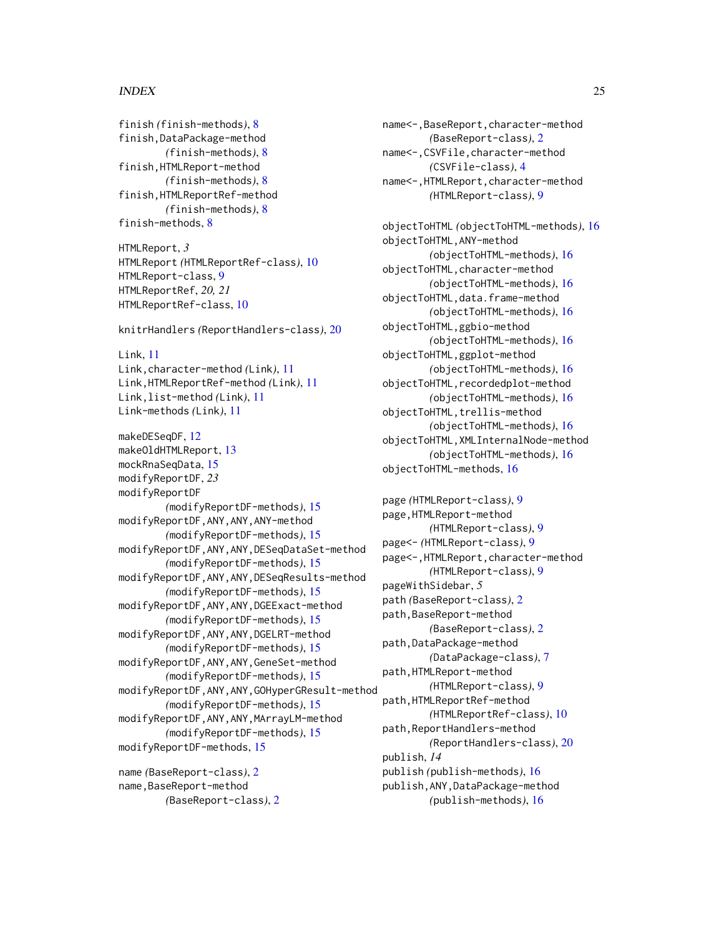#### INDEX 25

finish *(*finish-methods*)*, [8](#page-7-0) finish,DataPackage-method *(*finish-methods*)*, [8](#page-7-0) finish,HTMLReport-method *(*finish-methods*)*, [8](#page-7-0) finish,HTMLReportRef-method *(*finish-methods*)*, [8](#page-7-0) finish-methods, [8](#page-7-0)

HTMLReport, *3* HTMLReport *(*HTMLReportRef-class*)*, [10](#page-9-0) HTMLReport-class, [9](#page-8-0) HTMLReportRef, *20, 21* HTMLReportRef-class, [10](#page-9-0)

knitrHandlers *(*ReportHandlers-class*)*, [20](#page-19-0)

Link, [11](#page-10-0) Link,character-method *(*Link*)*, [11](#page-10-0) Link,HTMLReportRef-method *(*Link*)*, [11](#page-10-0) Link,list-method *(*Link*)*, [11](#page-10-0) Link-methods *(*Link*)*, [11](#page-10-0)

makeDESeqDF, [12](#page-11-0) makeOldHTMLReport, [13](#page-12-0) mockRnaSeqData, [15](#page-14-0) modifyReportDF, *23* modifyReportDF *(*modifyReportDF-methods*)*, [15](#page-14-0) modifyReportDF,ANY,ANY,ANY-method *(*modifyReportDF-methods*)*, [15](#page-14-0) modifyReportDF,ANY,ANY,DESeqDataSet-method *(*modifyReportDF-methods*)*, [15](#page-14-0) modifyReportDF,ANY,ANY,DESeqResults-method *(*modifyReportDF-methods*)*, [15](#page-14-0) modifyReportDF,ANY,ANY,DGEExact-method *(*modifyReportDF-methods*)*, [15](#page-14-0) modifyReportDF,ANY,ANY,DGELRT-method *(*modifyReportDF-methods*)*, [15](#page-14-0) modifyReportDF,ANY,ANY,GeneSet-method *(*modifyReportDF-methods*)*, [15](#page-14-0) modifyReportDF,ANY,ANY,GOHyperGResult-method *(*modifyReportDF-methods*)*, [15](#page-14-0) modifyReportDF,ANY,ANY,MArrayLM-method *(*modifyReportDF-methods*)*, [15](#page-14-0) modifyReportDF-methods, [15](#page-14-0) name *(*BaseReport-class*)*, [2](#page-1-0) name,BaseReport-method

*(*BaseReport-class*)*, [2](#page-1-0)

name<-,BaseReport,character-method *(*BaseReport-class*)*, [2](#page-1-0) name<-,CSVFile,character-method *(*CSVFile-class*)*, [4](#page-3-0) name<-,HTMLReport,character-method *(*HTMLReport-class*)*, [9](#page-8-0)

objectToHTML *(*objectToHTML-methods*)*, [16](#page-15-0) objectToHTML,ANY-method *(*objectToHTML-methods*)*, [16](#page-15-0) objectToHTML,character-method *(*objectToHTML-methods*)*, [16](#page-15-0) objectToHTML,data.frame-method *(*objectToHTML-methods*)*, [16](#page-15-0) objectToHTML,ggbio-method *(*objectToHTML-methods*)*, [16](#page-15-0) objectToHTML,ggplot-method *(*objectToHTML-methods*)*, [16](#page-15-0) objectToHTML,recordedplot-method *(*objectToHTML-methods*)*, [16](#page-15-0) objectToHTML, trellis-method *(*objectToHTML-methods*)*, [16](#page-15-0) objectToHTML,XMLInternalNode-method *(*objectToHTML-methods*)*, [16](#page-15-0) objectToHTML-methods, [16](#page-15-0)

```
page (HTMLReport-class), 9
page,HTMLReport-method
        (HTMLReport-class), 9
page<- (HTMLReport-class), 9
page<-,HTMLReport,character-method
        (HTMLReport-class), 9
pageWithSidebar, 5
path (BaseReport-class), 2
path,BaseReport-method
        (BaseReport-class), 2
path,DataPackage-method
        (DataPackage-class), 7
path,HTMLReport-method
        (HTMLReport-class), 9
path,HTMLReportRef-method
        (HTMLReportRef-class), 10
path,ReportHandlers-method
        (ReportHandlers-class), 20
publish, 14
publish (publish-methods), 16
publish,ANY,DataPackage-method
        (publish-methods), 16
```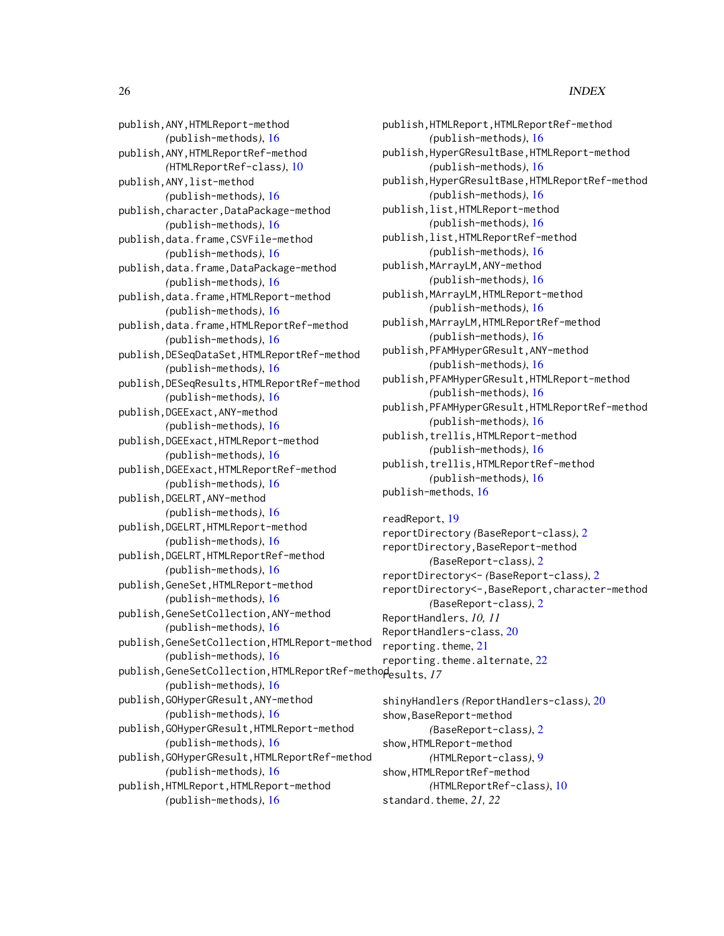#### 26 **INDEX**

publish,ANY,HTMLReport-method *(*publish-methods*)*, [16](#page-15-0) publish,ANY,HTMLReportRef-method *(*HTMLReportRef-class*)*, [10](#page-9-0) publish,ANY,list-method *(*publish-methods*)*, [16](#page-15-0) publish,character,DataPackage-method *(*publish-methods*)*, [16](#page-15-0) publish,data.frame,CSVFile-method *(*publish-methods*)*, [16](#page-15-0) publish,data.frame,DataPackage-method *(*publish-methods*)*, [16](#page-15-0) publish,data.frame,HTMLReport-method *(*publish-methods*)*, [16](#page-15-0) publish,data.frame,HTMLReportRef-method *(*publish-methods*)*, [16](#page-15-0) publish,DESeqDataSet,HTMLReportRef-method *(*publish-methods*)*, [16](#page-15-0) publish,DESeqResults,HTMLReportRef-method *(*publish-methods*)*, [16](#page-15-0) publish,DGEExact,ANY-method *(*publish-methods*)*, [16](#page-15-0) publish,DGEExact,HTMLReport-method *(*publish-methods*)*, [16](#page-15-0) publish,DGEExact,HTMLReportRef-method *(*publish-methods*)*, [16](#page-15-0) publish,DGELRT,ANY-method *(*publish-methods*)*, [16](#page-15-0) publish,DGELRT,HTMLReport-method *(*publish-methods*)*, [16](#page-15-0) publish,DGELRT,HTMLReportRef-method *(*publish-methods*)*, [16](#page-15-0) publish,GeneSet,HTMLReport-method *(*publish-methods*)*, [16](#page-15-0) publish,GeneSetCollection,ANY-method *(*publish-methods*)*, [16](#page-15-0) publish,GeneSetCollection,HTMLReport-method *(*publish-methods*)*, [16](#page-15-0) publish,GeneSetCollection,HTMLReportRef-method results, *17 (*publish-methods*)*, [16](#page-15-0) publish,GOHyperGResult,ANY-method *(*publish-methods*)*, [16](#page-15-0) publish,GOHyperGResult,HTMLReport-method *(*publish-methods*)*, [16](#page-15-0) publish,GOHyperGResult,HTMLReportRef-method *(*publish-methods*)*, [16](#page-15-0) publish,HTMLReport,HTMLReport-method *(*publish-methods*)*, [16](#page-15-0)

publish,HTMLReport,HTMLReportRef-method *(*publish-methods*)*, [16](#page-15-0) publish,HyperGResultBase,HTMLReport-method *(*publish-methods*)*, [16](#page-15-0) publish,HyperGResultBase,HTMLReportRef-method *(*publish-methods*)*, [16](#page-15-0) publish,list,HTMLReport-method *(*publish-methods*)*, [16](#page-15-0) publish,list,HTMLReportRef-method *(*publish-methods*)*, [16](#page-15-0) publish,MArrayLM,ANY-method *(*publish-methods*)*, [16](#page-15-0) publish,MArrayLM,HTMLReport-method *(*publish-methods*)*, [16](#page-15-0) publish,MArrayLM,HTMLReportRef-method *(*publish-methods*)*, [16](#page-15-0) publish,PFAMHyperGResult,ANY-method *(*publish-methods*)*, [16](#page-15-0) publish,PFAMHyperGResult,HTMLReport-method *(*publish-methods*)*, [16](#page-15-0) publish,PFAMHyperGResult,HTMLReportRef-method *(*publish-methods*)*, [16](#page-15-0) publish,trellis,HTMLReport-method *(*publish-methods*)*, [16](#page-15-0) publish,trellis,HTMLReportRef-method *(*publish-methods*)*, [16](#page-15-0) publish-methods, [16](#page-15-0)

readReport, [19](#page-18-0) reportDirectory *(*BaseReport-class*)*, [2](#page-1-0) reportDirectory,BaseReport-method *(*BaseReport-class*)*, [2](#page-1-0) reportDirectory<- *(*BaseReport-class*)*, [2](#page-1-0) reportDirectory<-,BaseReport,character-method *(*BaseReport-class*)*, [2](#page-1-0) ReportHandlers, *10, 11* ReportHandlers-class, [20](#page-19-0) reporting.theme, [21](#page-20-0) reporting.theme.alternate, [22](#page-21-0)

shinyHandlers *(*ReportHandlers-class*)*, [20](#page-19-0) show,BaseReport-method *(*BaseReport-class*)*, [2](#page-1-0) show,HTMLReport-method *(*HTMLReport-class*)*, [9](#page-8-0) show,HTMLReportRef-method *(*HTMLReportRef-class*)*, [10](#page-9-0) standard.theme, 21, 22